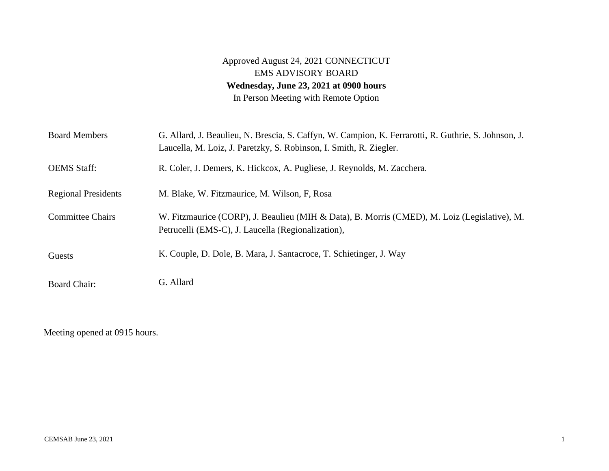## Approved August 24, 2021 CONNECTICUT EMS ADVISORY BOARD **Wednesday, June 23, 2021 at 0900 hours**  In Person Meeting with Remote Option

| <b>Board Members</b>       | G. Allard, J. Beaulieu, N. Brescia, S. Caffyn, W. Campion, K. Ferrarotti, R. Guthrie, S. Johnson, J.<br>Laucella, M. Loiz, J. Paretzky, S. Robinson, I. Smith, R. Ziegler. |
|----------------------------|----------------------------------------------------------------------------------------------------------------------------------------------------------------------------|
| <b>OEMS</b> Staff:         | R. Coler, J. Demers, K. Hickcox, A. Pugliese, J. Reynolds, M. Zacchera.                                                                                                    |
| <b>Regional Presidents</b> | M. Blake, W. Fitzmaurice, M. Wilson, F. Rosa                                                                                                                               |
| <b>Committee Chairs</b>    | W. Fitzmaurice (CORP), J. Beaulieu (MIH & Data), B. Morris (CMED), M. Loiz (Legislative), M.<br>Petrucelli (EMS-C), J. Laucella (Regionalization),                         |
| Guests                     | K. Couple, D. Dole, B. Mara, J. Santacroce, T. Schietinger, J. Way                                                                                                         |
| <b>Board Chair:</b>        | G. Allard                                                                                                                                                                  |

Meeting opened at 0915 hours.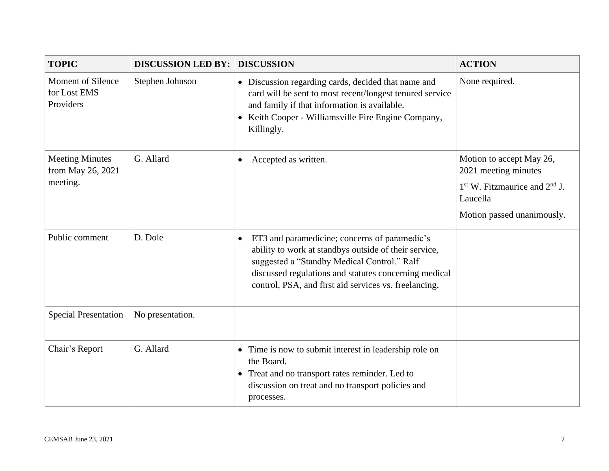| <b>TOPIC</b>                                            | <b>DISCUSSION LED BY:</b> | <b>DISCUSSION</b>                                                                                                                                                                                                                                                                    | <b>ACTION</b>                                    |
|---------------------------------------------------------|---------------------------|--------------------------------------------------------------------------------------------------------------------------------------------------------------------------------------------------------------------------------------------------------------------------------------|--------------------------------------------------|
| <b>Moment of Silence</b><br>for Lost EMS<br>Providers   | Stephen Johnson           | • Discussion regarding cards, decided that name and<br>card will be sent to most recent/longest tenured service<br>and family if that information is available.<br>• Keith Cooper - Williamsville Fire Engine Company,<br>Killingly.                                                 | None required.                                   |
| <b>Meeting Minutes</b><br>from May 26, 2021<br>meeting. | G. Allard                 | Accepted as written.<br>$\bullet$                                                                                                                                                                                                                                                    | Motion to accept May 26,<br>2021 meeting minutes |
|                                                         |                           |                                                                                                                                                                                                                                                                                      | $1st$ W. Fitzmaurice and $2nd$ J.<br>Laucella    |
|                                                         |                           |                                                                                                                                                                                                                                                                                      | Motion passed unanimously.                       |
| Public comment                                          | D. Dole                   | ET3 and paramedicine; concerns of paramedic's<br>$\bullet$<br>ability to work at standbys outside of their service,<br>suggested a "Standby Medical Control." Ralf<br>discussed regulations and statutes concerning medical<br>control, PSA, and first aid services vs. freelancing. |                                                  |
| <b>Special Presentation</b>                             | No presentation.          |                                                                                                                                                                                                                                                                                      |                                                  |
| Chair's Report                                          | G. Allard                 | • Time is now to submit interest in leadership role on<br>the Board.<br>• Treat and no transport rates reminder. Led to<br>discussion on treat and no transport policies and<br>processes.                                                                                           |                                                  |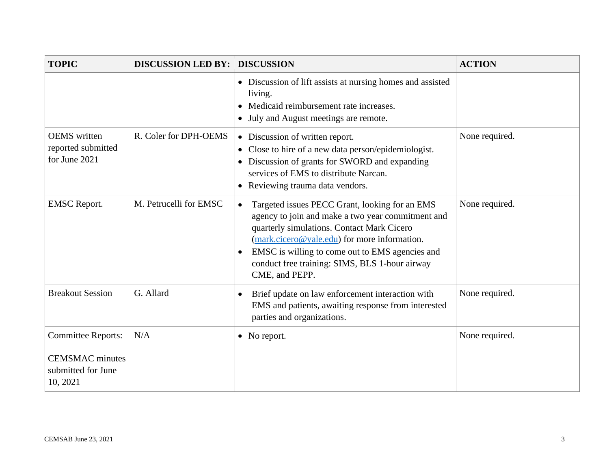| <b>TOPIC</b>                                                                          | <b>DISCUSSION LED BY:</b> | <b>DISCUSSION</b>                                                                                                                                                                                                                                                                                                                                    | <b>ACTION</b>  |
|---------------------------------------------------------------------------------------|---------------------------|------------------------------------------------------------------------------------------------------------------------------------------------------------------------------------------------------------------------------------------------------------------------------------------------------------------------------------------------------|----------------|
|                                                                                       |                           | • Discussion of lift assists at nursing homes and assisted<br>living.<br>• Medicaid reimbursement rate increases.<br>July and August meetings are remote.<br>$\bullet$                                                                                                                                                                               |                |
| <b>OEMS</b> written<br>reported submitted<br>for June 2021                            | R. Coler for DPH-OEMS     | • Discussion of written report.<br>Close to hire of a new data person/epidemiologist.<br>Discussion of grants for SWORD and expanding<br>services of EMS to distribute Narcan.<br>Reviewing trauma data vendors.<br>$\bullet$                                                                                                                        | None required. |
| <b>EMSC</b> Report.                                                                   | M. Petrucelli for EMSC    | Targeted issues PECC Grant, looking for an EMS<br>$\bullet$<br>agency to join and make a two year commitment and<br>quarterly simulations. Contact Mark Cicero<br>$(mark.cicero@yale.edu)$ for more information.<br>EMSC is willing to come out to EMS agencies and<br>$\bullet$<br>conduct free training: SIMS, BLS 1-hour airway<br>CME, and PEPP. | None required. |
| <b>Breakout Session</b>                                                               | G. Allard                 | Brief update on law enforcement interaction with<br>EMS and patients, awaiting response from interested<br>parties and organizations.                                                                                                                                                                                                                | None required. |
| <b>Committee Reports:</b><br><b>CEMSMAC</b> minutes<br>submitted for June<br>10, 2021 | N/A                       | • No report.                                                                                                                                                                                                                                                                                                                                         | None required. |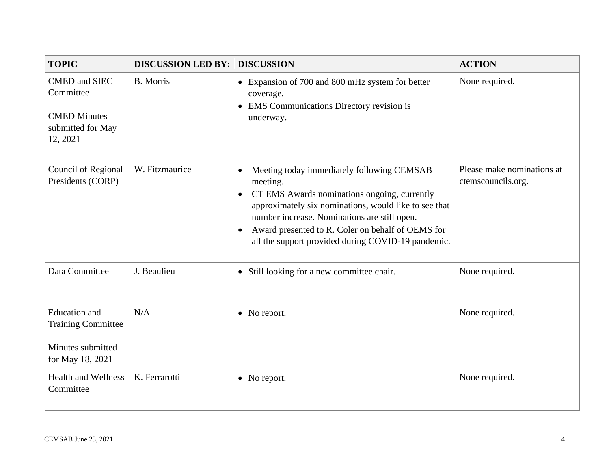| <b>TOPIC</b>                                                                               | <b>DISCUSSION LED BY:</b> | <b>DISCUSSION</b>                                                                                                                                                                                                                                                                                                                                                 | <b>ACTION</b>                                    |
|--------------------------------------------------------------------------------------------|---------------------------|-------------------------------------------------------------------------------------------------------------------------------------------------------------------------------------------------------------------------------------------------------------------------------------------------------------------------------------------------------------------|--------------------------------------------------|
| <b>CMED</b> and SIEC<br>Committee<br><b>CMED Minutes</b><br>submitted for May<br>12, 2021  | <b>B.</b> Morris          | • Expansion of 700 and 800 mHz system for better<br>coverage.<br><b>EMS</b> Communications Directory revision is<br>$\bullet$<br>underway.                                                                                                                                                                                                                        | None required.                                   |
| Council of Regional<br>Presidents (CORP)                                                   | W. Fitzmaurice            | Meeting today immediately following CEMSAB<br>$\bullet$<br>meeting.<br>CT EMS Awards nominations ongoing, currently<br>$\bullet$<br>approximately six nominations, would like to see that<br>number increase. Nominations are still open.<br>Award presented to R. Coler on behalf of OEMS for<br>$\bullet$<br>all the support provided during COVID-19 pandemic. | Please make nominations at<br>ctemscouncils.org. |
| Data Committee                                                                             | J. Beaulieu               | • Still looking for a new committee chair.                                                                                                                                                                                                                                                                                                                        | None required.                                   |
| <b>Education</b> and<br><b>Training Committee</b><br>Minutes submitted<br>for May 18, 2021 | N/A                       | • No report.                                                                                                                                                                                                                                                                                                                                                      | None required.                                   |
| <b>Health and Wellness</b><br>Committee                                                    | K. Ferrarotti             | • No report.                                                                                                                                                                                                                                                                                                                                                      | None required.                                   |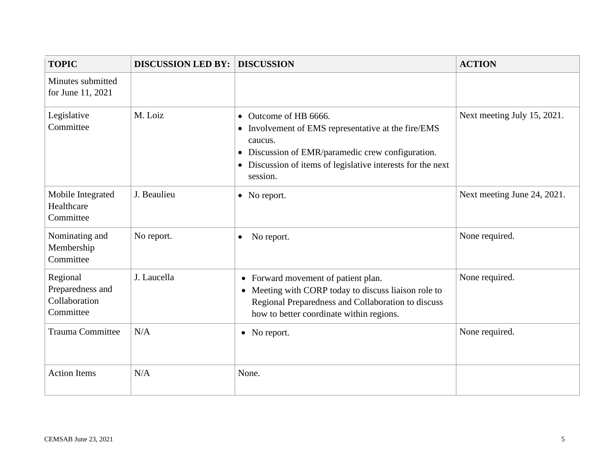| <b>TOPIC</b>                                               | <b>DISCUSSION LED BY:</b> | <b>DISCUSSION</b>                                                                                                                                                                                                                  | <b>ACTION</b>               |
|------------------------------------------------------------|---------------------------|------------------------------------------------------------------------------------------------------------------------------------------------------------------------------------------------------------------------------------|-----------------------------|
| Minutes submitted<br>for June 11, 2021                     |                           |                                                                                                                                                                                                                                    |                             |
| Legislative<br>Committee                                   | M. Loiz                   | • Outcome of HB 6666.<br>• Involvement of EMS representative at the fire/EMS<br>caucus.<br>• Discussion of EMR/paramedic crew configuration.<br>Discussion of items of legislative interests for the next<br>$\bullet$<br>session. | Next meeting July 15, 2021. |
| Mobile Integrated<br>Healthcare<br>Committee               | J. Beaulieu               | • No report.                                                                                                                                                                                                                       | Next meeting June 24, 2021. |
| Nominating and<br>Membership<br>Committee                  | No report.                | No report.<br>$\bullet$                                                                                                                                                                                                            | None required.              |
| Regional<br>Preparedness and<br>Collaboration<br>Committee | J. Laucella               | • Forward movement of patient plan.<br>• Meeting with CORP today to discuss liaison role to<br>Regional Preparedness and Collaboration to discuss<br>how to better coordinate within regions.                                      | None required.              |
| <b>Trauma Committee</b>                                    | N/A                       | • No report.                                                                                                                                                                                                                       | None required.              |
| <b>Action Items</b>                                        | N/A                       | None.                                                                                                                                                                                                                              |                             |